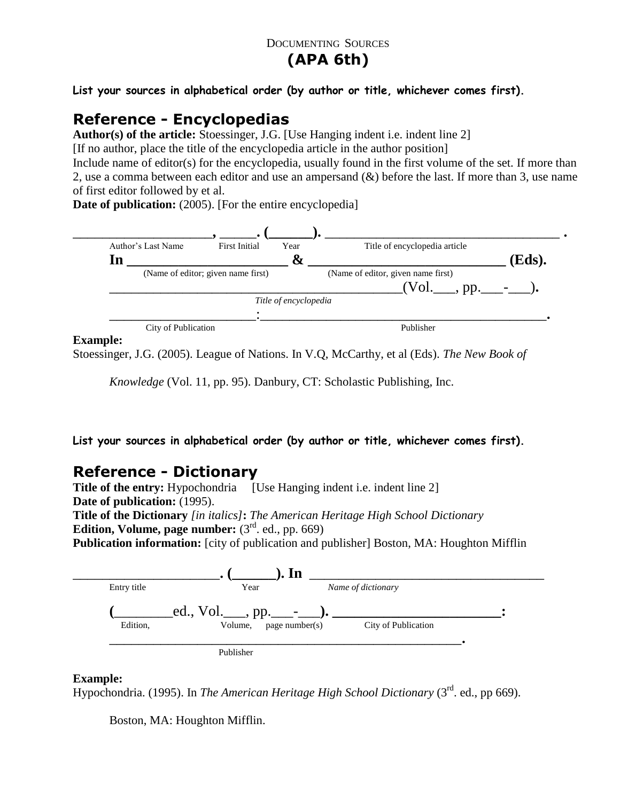## DOCUMENTING SOURCES

# **(APA 6th)**

**List your sources in alphabetical order (by author or title, whichever comes first).**

# **Reference - Encyclopedias**

**Author(s) of the article:** Stoessinger, J.G. [Use Hanging indent i.e. indent line 2] [If no author, place the title of the encyclopedia article in the author position]

Include name of editor(s) for the encyclopedia, usually found in the first volume of the set. If more than 2, use a comma between each editor and use an ampersand (&) before the last. If more than 3, use name of first editor followed by et al.

**Date of publication:** (2005). [For the entire encyclopedia]



#### **Example:**

Stoessinger, J.G. (2005). League of Nations. In V.Q, McCarthy, et al (Eds). *The New Book of* 

*Knowledge* (Vol. 11, pp. 95). Danbury, CT: Scholastic Publishing, Inc.

**List your sources in alphabetical order (by author or title, whichever comes first).**

## **Reference - Dictionary**

**Title of the entry:** Hypochondria [Use Hanging indent i.e. indent line 2] **Date of publication:** (1995). **Title of the Dictionary** *[in italics]***:** *The American Heritage High School Dictionary* **Edition, Volume, page number:**  $(3<sup>rd</sup>$ . ed., pp. 669) **Publication information:** [city of publication and publisher] Boston, MA: Houghton Mifflin



## **Example:**

Hypochondria. (1995). In *The American Heritage High School Dictionary* (3<sup>rd</sup>. ed., pp 669).

Boston, MA: Houghton Mifflin.